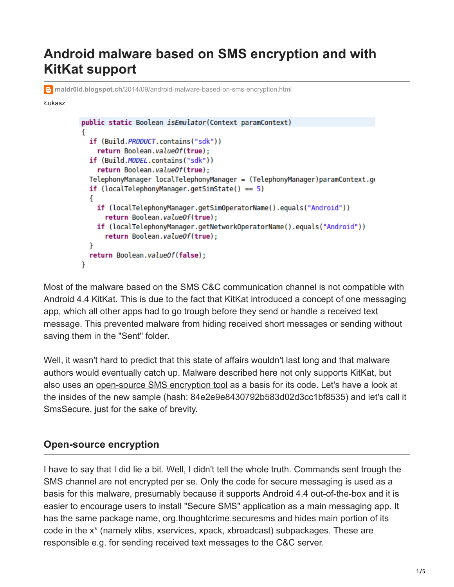# **Android malware based on SMS encryption and with KitKat support**

**maldr0id.blogspot.ch**[/2014/09/android-malware-based-on-sms-encryption.html](http://maldr0id.blogspot.ch/2014/09/android-malware-based-on-sms-encryption.html)

#### Łukasz

```
public static Boolean isEmulator(Context paramContext)
€
  if (Build. PRODUCT. contains ("sdk"))
    return Boolean.valueOf(true);
  if (Build.MODEL.contains("sdk"))
    return Boolean.valueOf(true);
  TelephonyManager localTelephonyManager = (TelephonyManager)paramContext.ge
  if (local TelephoneManaqer.qetSimState() == 5)f.
    if (localTelephonyManager.getSimOperatorName().equals("Android"))
      return Boolean.valueOf(true);
    if (localTelephonyManager.getNetworkOperatorName().equals("Android"))
      return Boolean.valueOf(true);
  ł
  return Boolean.valueOf(false);
ł
```
Most of the malware based on the SMS C&C communication channel is not compatible with Android 4.4 KitKat. This is due to the fact that KitKat introduced a concept of one messaging app, which all other apps had to go trough before they send or handle a received text message. This prevented malware from hiding received short messages or sending without saving them in the "Sent" folder.

Well, it wasn't hard to predict that this state of affairs wouldn't last long and that malware authors would eventually catch up. Malware described here not only supports KitKat, but also uses an [open-source SMS encryption tool](https://play.google.com/store/apps/details?id=org.thoughtcrime.securesms) as a basis for its code. Let's have a look at the insides of the new sample (hash: 84e2e9e8430792b583d02d3cc1bf8535) and let's call it SmsSecure, just for the sake of brevity.

#### **Open-source encryption**

I have to say that I did lie a bit. Well, I didn't tell the whole truth. Commands sent trough the SMS channel are not encrypted per se. Only the code for secure messaging is used as a basis for this malware, presumably because it supports Android 4.4 out-of-the-box and it is easier to encourage users to install "Secure SMS" application as a main messaging app. It has the same package name, org.thoughtcrime.securesms and hides main portion of its code in the x\* (namely xlibs, xservices, xpack, xbroadcast) subpackages. These are responsible e.g. for sending received text messages to the C&C server.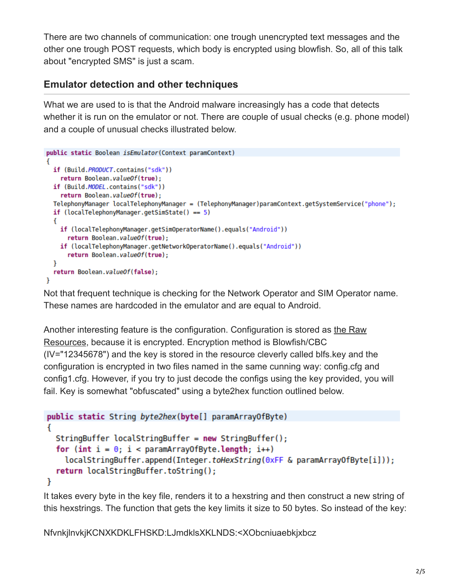There are two channels of communication: one trough unencrypted text messages and the other one trough POST requests, which body is encrypted using blowfish. So, all of this talk about "encrypted SMS" is just a scam.

## **Emulator detection and other techniques**

What we are used to is that the Android malware increasingly has a code that detects whether it is run on the emulator or not. There are couple of usual checks (e.g. phone model) and a couple of unusual checks illustrated below.

```
public static Boolean isEmulator(Context paramContext)
€
  if (Build. PRODUCT. contains ("sdk"))
    return Boolean.valueOf(true);
  if (Build.MODEL.contains("sdk"))
    return Boolean.valueOf(true);
  TelephonyManager localTelephonyManager = (TelephonyManager)paramContext.getSystemService("phone");
  if (local TelephoneManager.getSimState() == 5)ſ
    if (localTelephonyManager.getSimOperatorName().equals("Android"))
      return Boolean.valueOf(true);
    if (localTelephonyManager.getNetworkOperatorName().equals("Android"))
      return Boolean.valueOf(true);
  ł
  return Boolean.valueOf(false);
ł
```
Not that frequent technique is checking for the Network Operator and SIM Operator name. These names are hardcoded in the emulator and are equal to Android.

[Another interesting feature is the configuration. Configuration is stored as the Raw](http://developer.android.com/reference/android/content/res/Resources.html#openRawResource(int)) Resources, because it is encrypted. Encryption method is Blowfish/CBC (IV="12345678") and the key is stored in the resource cleverly called blfs.key and the configuration is encrypted in two files named in the same cunning way: config.cfg and config1.cfg. However, if you try to just decode the configs using the key provided, you will fail. Key is somewhat "obfuscated" using a byte2hex function outlined below.

```
public static String byte2hex(byte[] paramArrayOfByte)
Ł
  StringBuffer localStringBuffer = new StringBuffer();
  for (int i = 0; i < paramArrayOfByte.length; i++)localStringBuffer.append(Integer.toHexString(0xFF & paramArrayOfByte[i]));
  return localStringBuffer.toString();
ł
```
It takes every byte in the key file, renders it to a hexstring and then construct a new string of this hexstrings. The function that gets the key limits it size to 50 bytes. So instead of the key:

NfvnkjlnvkjKCNXKDKLFHSKD:LJmdklsXKLNDS:<XObcniuaebkjxbcz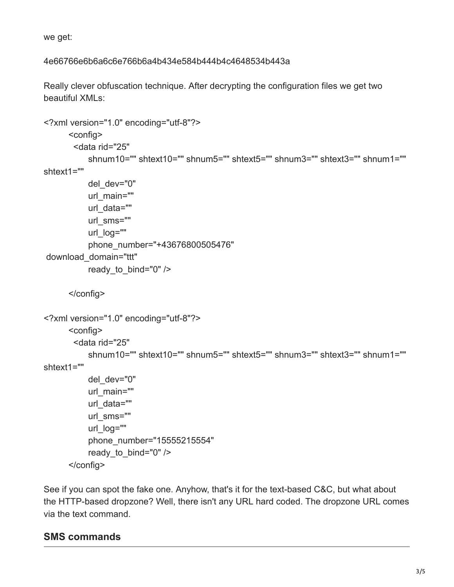we get:

#### 4e66766e6b6a6c6e766b6a4b434e584b444b4c4648534b443a

Really clever obfuscation technique. After decrypting the configuration files we get two beautiful XMLs:

```
<?xml version="1.0" encoding="utf-8"?>
       <config>
        <data rid="25" 
            shnum10="" shtext10="" shnum5="" shtext5="" shnum3="" shtext3="" shnum1=""
shtext1="" 
          del dev="0"
           url_main="" 
          url data=""
          url_sms=""
            url_log=""
            phone_number="+43676800505476"
 download_domain="ttt"
           ready to bind="0" />
       </config>
<?xml version="1.0" encoding="utf-8"?>
       <config>
        <data rid="25" 
            shnum10="" shtext10="" shnum5="" shtext5="" shnum3="" shtext3="" shnum1=""
shtext1="" 
          del dev="0"
          url main=""
          url data=""
           url_sms=""
           url_log=""
            phone_number="15555215554"
          ready to bind="0" />
       </config>
```
See if you can spot the fake one. Anyhow, that's it for the text-based C&C, but what about the HTTP-based dropzone? Well, there isn't any URL hard coded. The dropzone URL comes via the text command.

### **SMS commands**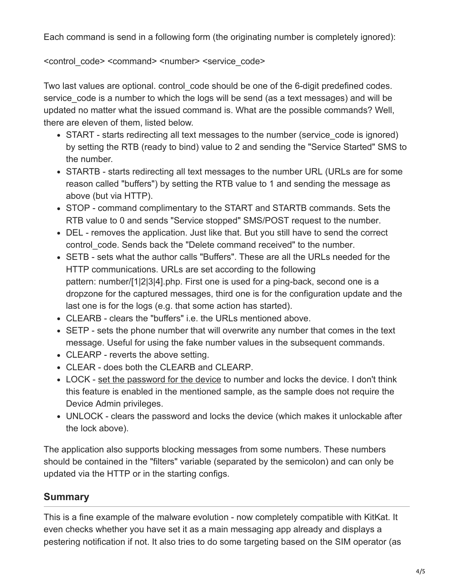Each command is send in a following form (the originating number is completely ignored):

#### <control\_code> <command> <number> <service\_code>

Two last values are optional, control code should be one of the 6-digit predefined codes. service code is a number to which the logs will be send (as a text messages) and will be updated no matter what the issued command is. What are the possible commands? Well, there are eleven of them, listed below.

- START starts redirecting all text messages to the number (service code is ignored) by setting the RTB (ready to bind) value to 2 and sending the "Service Started" SMS to the number.
- STARTB starts redirecting all text messages to the number URL (URLs are for some reason called "buffers") by setting the RTB value to 1 and sending the message as above (but via HTTP).
- STOP command complimentary to the START and STARTB commands. Sets the RTB value to 0 and sends "Service stopped" SMS/POST request to the number.
- DEL removes the application. Just like that. But you still have to send the correct control code. Sends back the "Delete command received" to the number.
- SETB sets what the author calls "Buffers". These are all the URLs needed for the HTTP communications. URLs are set according to the following pattern: number/[1|2|3|4].php. First one is used for a ping-back, second one is a dropzone for the captured messages, third one is for the configuration update and the last one is for the logs (e.g. that some action has started).
- CLEARB clears the "buffers" i.e. the URLs mentioned above.
- SETP sets the phone number that will overwrite any number that comes in the text message. Useful for using the fake number values in the subsequent commands.
- CLEARP reverts the above setting.
- CLEAR does both the CLEARB and CLEARP.
- LOCK - [set the password for the device](https://developer.android.com/reference/android/app/admin/DevicePolicyManager.html#resetPassword%28java.lang.String,%20int%29) to number and locks the device. I don't think this feature is enabled in the mentioned sample, as the sample does not require the Device Admin privileges.
- UNLOCK clears the password and locks the device (which makes it unlockable after the lock above).

The application also supports blocking messages from some numbers. These numbers should be contained in the "filters" variable (separated by the semicolon) and can only be updated via the HTTP or in the starting configs.

# **Summary**

This is a fine example of the malware evolution - now completely compatible with KitKat. It even checks whether you have set it as a main messaging app already and displays a pestering notification if not. It also tries to do some targeting based on the SIM operator (as